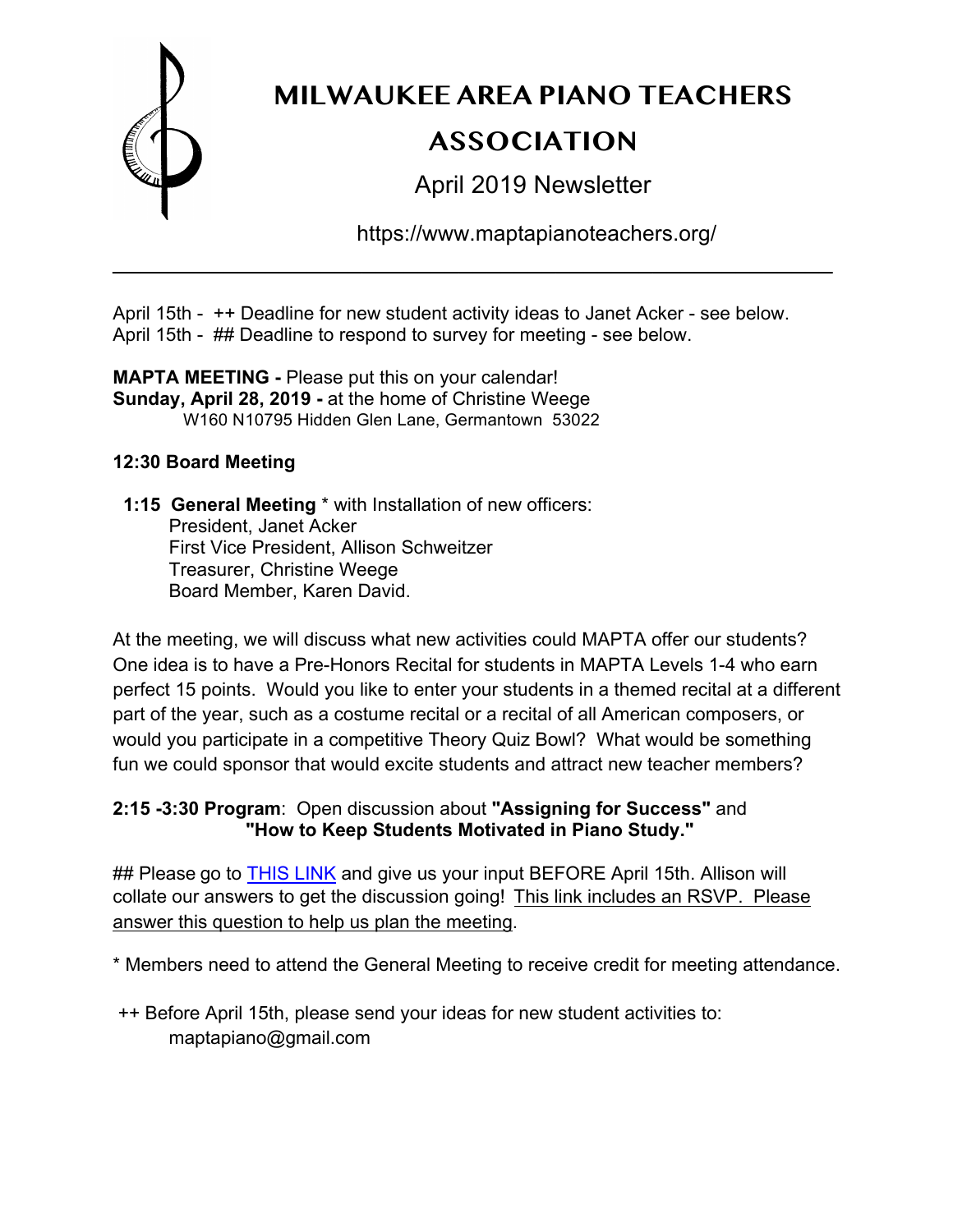

# **MILWAUKEE AREA PIANO TEACHERS ASSOCIATION**

April 2019 Newsletter

https://www.maptapianoteachers.org/

April 15th - ++ Deadline for new student activity ideas to Janet Acker - see below. April 15th - ## Deadline to respond to survey for meeting - see below.

\_\_\_\_\_\_\_\_\_\_\_\_\_\_\_\_\_\_\_\_\_\_\_\_\_\_\_\_\_\_\_\_\_\_\_\_\_\_\_\_\_\_\_\_\_\_\_\_\_\_\_\_

**MAPTA MEETING -** Please put this on your calendar! **Sunday, April 28, 2019 -** at the home of Christine Weege W160 N10795 Hidden Glen Lane, Germantown 53022

## **12:30 Board Meeting**

 **1:15 General Meeting** \* with Installation of new officers: President, Janet Acker First Vice President, Allison Schweitzer Treasurer, Christine Weege Board Member, Karen David.

At the meeting, we will discuss what new activities could MAPTA offer our students? One idea is to have a Pre-Honors Recital for students in MAPTA Levels 1-4 who earn perfect 15 points. Would you like to enter your students in a themed recital at a different part of the year, such as a costume recital or a recital of all American composers, or would you participate in a competitive Theory Quiz Bowl? What would be something fun we could sponsor that would excite students and attract new teacher members?

## **2:15 -3:30 Program**: Open discussion about **"Assigning for Success"** and **"How to Keep Students Motivated in Piano Study."**

## Please go to THIS LINK and give us your input BEFORE April 15th. Allison will collate our answers to get the discussion going! This link includes an RSVP. Please answer this question to help us plan the meeting.

\* Members need to attend the General Meeting to receive credit for meeting attendance.

++ Before April 15th, please send your ideas for new student activities to: maptapiano@gmail.com